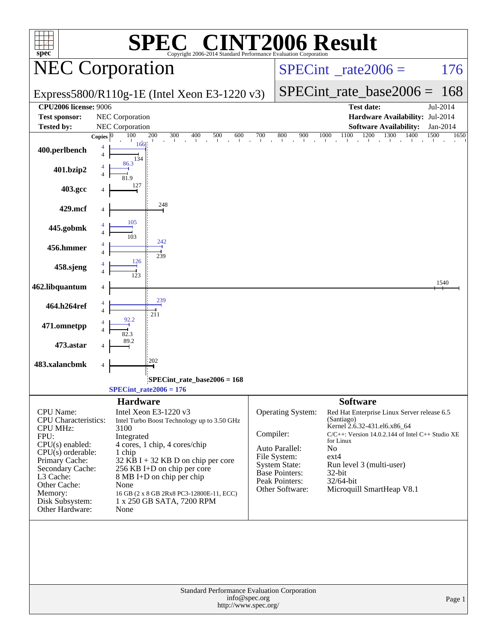|                                                      | <b>C® CINT2006 Result</b><br>SPE)                                                    |                                   |                                                                    |          |
|------------------------------------------------------|--------------------------------------------------------------------------------------|-----------------------------------|--------------------------------------------------------------------|----------|
| $spec^*$                                             | Copyright 2006-2014 Standard Performance Evaluation Corporation                      |                                   |                                                                    |          |
|                                                      | <b>NEC Corporation</b>                                                               |                                   | $SPECint^{\circ}$ rate $2006 =$                                    | 176      |
|                                                      | Express5800/R110g-1E (Intel Xeon E3-1220 v3)                                         |                                   | $SPECint_rate\_base2006 =$                                         | 168      |
| <b>CPU2006 license: 9006</b><br><b>Test sponsor:</b> | NEC Corporation                                                                      |                                   | <b>Test date:</b><br>Hardware Availability: Jul-2014               | Jul-2014 |
| <b>Tested by:</b>                                    | NEC Corporation                                                                      |                                   | <b>Software Availability:</b>                                      | Jan-2014 |
| Copies $ 0 $                                         | 200<br>100<br>166                                                                    |                                   |                                                                    | 1650     |
| 400.perlbench                                        | 134                                                                                  |                                   |                                                                    |          |
| 401.bzip2                                            | 86.3                                                                                 |                                   |                                                                    |          |
| 403.gcc                                              | 127                                                                                  |                                   |                                                                    |          |
| 429.mcf                                              | 248                                                                                  |                                   |                                                                    |          |
| 445.gobmk                                            | 105                                                                                  |                                   |                                                                    |          |
| 456.hmmer                                            | 242                                                                                  |                                   |                                                                    |          |
| 458.sjeng                                            | 239<br>126                                                                           |                                   |                                                                    |          |
| 462.libquantum                                       |                                                                                      |                                   |                                                                    | 1540     |
|                                                      |                                                                                      |                                   |                                                                    |          |
| 464.h264ref                                          | 211                                                                                  |                                   |                                                                    |          |
| 471.omnetpp                                          |                                                                                      |                                   |                                                                    |          |
| 473.astar                                            |                                                                                      |                                   |                                                                    |          |
| 483.xalancbmk<br>4                                   | 202                                                                                  |                                   |                                                                    |          |
|                                                      | SPECint_rate_base2006 = 168<br>$SPECint_rate2006 = 176$                              |                                   |                                                                    |          |
|                                                      | <b>Hardware</b>                                                                      |                                   | <b>Software</b>                                                    |          |
| CPU Name:                                            | Intel Xeon E3-1220 v3                                                                | <b>Operating System:</b>          | Red Hat Enterprise Linux Server release 6.5                        |          |
| <b>CPU</b> Characteristics:<br><b>CPU MHz:</b>       | Intel Turbo Boost Technology up to 3.50 GHz<br>3100                                  |                                   | (Santiago)<br>Kernel 2.6.32-431.el6.x86_64                         |          |
| FPU:                                                 | Integrated                                                                           | Compiler:                         | $C/C++$ : Version 14.0.2.144 of Intel $C++$ Studio XE<br>for Linux |          |
| $CPU(s)$ enabled:<br>$CPU(s)$ orderable:             | 4 cores, 1 chip, 4 cores/chip<br>1 chip                                              | Auto Parallel:                    | No                                                                 |          |
| Primary Cache:                                       | $32$ KB I + 32 KB D on chip per core                                                 | File System:<br>System State:     | $ext{4}$<br>Run level 3 (multi-user)                               |          |
| Secondary Cache:<br>L3 Cache:                        | 256 KB I+D on chip per core<br>8 MB I+D on chip per chip                             | <b>Base Pointers:</b>             | 32-bit                                                             |          |
| Other Cache:                                         | None                                                                                 | Peak Pointers:<br>Other Software: | 32/64-bit<br>Microquill SmartHeap V8.1                             |          |
| Memory:<br>Disk Subsystem:                           | 16 GB (2 x 8 GB 2Rx8 PC3-12800E-11, ECC)<br>1 x 250 GB SATA, 7200 RPM                |                                   |                                                                    |          |
| Other Hardware:                                      | None                                                                                 |                                   |                                                                    |          |
|                                                      |                                                                                      |                                   |                                                                    |          |
|                                                      | Standard Performance Evaluation Corporation<br>info@spec.org<br>http://www.spec.org/ |                                   | Page 1                                                             |          |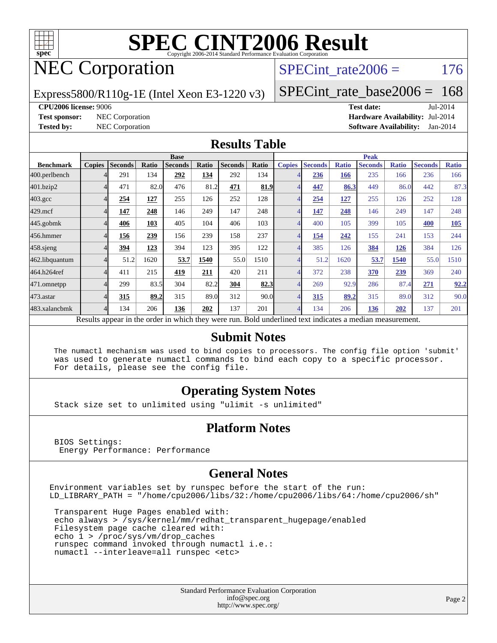

# **[SPEC CINT2006 Result](http://www.spec.org/auto/cpu2006/Docs/result-fields.html#SPECCINT2006Result)**

# NEC Corporation

SPECint rate $2006 = 176$ 

Express5800/R110g-1E (Intel Xeon E3-1220 v3)

[SPECint\\_rate\\_base2006 =](http://www.spec.org/auto/cpu2006/Docs/result-fields.html#SPECintratebase2006) 168

**[CPU2006 license:](http://www.spec.org/auto/cpu2006/Docs/result-fields.html#CPU2006license)** 9006 **[Test date:](http://www.spec.org/auto/cpu2006/Docs/result-fields.html#Testdate)** Jul-2014

**[Test sponsor:](http://www.spec.org/auto/cpu2006/Docs/result-fields.html#Testsponsor)** NEC Corporation **[Hardware Availability:](http://www.spec.org/auto/cpu2006/Docs/result-fields.html#HardwareAvailability)** Jul-2014 **[Tested by:](http://www.spec.org/auto/cpu2006/Docs/result-fields.html#Testedby)** NEC Corporation **[Software Availability:](http://www.spec.org/auto/cpu2006/Docs/result-fields.html#SoftwareAvailability)** Jan-2014

#### **[Results Table](http://www.spec.org/auto/cpu2006/Docs/result-fields.html#ResultsTable)**

|                                                                                                          | <b>Base</b>   |                |       |                |       |                | <b>Peak</b> |                |                |              |                |              |                |              |
|----------------------------------------------------------------------------------------------------------|---------------|----------------|-------|----------------|-------|----------------|-------------|----------------|----------------|--------------|----------------|--------------|----------------|--------------|
| <b>Benchmark</b>                                                                                         | <b>Copies</b> | <b>Seconds</b> | Ratio | <b>Seconds</b> | Ratio | <b>Seconds</b> | Ratio       | <b>Copies</b>  | <b>Seconds</b> | <b>Ratio</b> | <b>Seconds</b> | <b>Ratio</b> | <b>Seconds</b> | <b>Ratio</b> |
| 400.perlbench                                                                                            |               | 291            | 134   | 292            | 134   | 292            | 134         |                | 236            | <b>166</b>   | 235            | 166          | 236            | 166          |
| 401.bzip2                                                                                                |               | 471            | 82.0  | 476            | 81.2  | 471            | 81.9        |                | 447            | 86.3         | 449            | 86.0         | 442            | 87.3         |
| $403.\mathrm{gcc}$                                                                                       |               | 254            | 127   | 255            | 126   | 252            | 128         | $\overline{4}$ | 254            | <u>127</u>   | 255            | 126          | 252            | 128          |
| $429$ .mcf                                                                                               |               | 147            | 248   | 146            | 249   | 147            | 248         | 4              | 147            | 248          | 146            | 249          | 147            | 248          |
| $445$ .gobm $k$                                                                                          |               | 406            | 103   | 405            | 104   | 406            | 103         | $\overline{4}$ | 400            | 105          | 399            | 105          | 400            | 105          |
| 456.hmmer                                                                                                |               | 156            | 239   | 156            | 239   | 158            | 237         |                | 154            | 242          | 155            | 241          | 153            | 244          |
| $458$ .sjeng                                                                                             |               | 394            | 123   | 394            | 123   | 395            | 122         | 4              | 385            | 126          | 384            | 126          | 384            | 126          |
| 462.libquantum                                                                                           |               | 51.2           | 1620  | 53.7           | 1540  | 55.0           | 1510        | 4              | 51.2           | 1620         | 53.7           | 1540         | 55.0           | 1510         |
| 464.h264ref                                                                                              |               | 411            | 215   | 419            | 211   | 420            | 211         | $\overline{4}$ | 372            | 238          | 370            | 239          | 369            | 240          |
| 471.omnetpp                                                                                              |               | 299            | 83.5  | 304            | 82.2  | 304            | 82.3        | $\overline{4}$ | 269            | 92.9         | 286            | 87.4         | 271            | 92.2         |
| 473.astar                                                                                                |               | 315            | 89.2  | 315            | 89.0  | 312            | 90.0        | $\overline{4}$ | 315            | 89.2         | 315            | 89.0         | 312            | 90.0         |
| 483.xalancbmk                                                                                            | Δ             | 134            | 206   | 136            | 202   | 137            | 201         | $\overline{4}$ | 134            | 206          | <b>136</b>     | 202          | 137            | 201          |
| Results appear in the order in which they were run. Bold underlined text indicates a median measurement. |               |                |       |                |       |                |             |                |                |              |                |              |                |              |

#### **[Submit Notes](http://www.spec.org/auto/cpu2006/Docs/result-fields.html#SubmitNotes)**

 The numactl mechanism was used to bind copies to processors. The config file option 'submit' was used to generate numactl commands to bind each copy to a specific processor. For details, please see the config file.

### **[Operating System Notes](http://www.spec.org/auto/cpu2006/Docs/result-fields.html#OperatingSystemNotes)**

Stack size set to unlimited using "ulimit -s unlimited"

#### **[Platform Notes](http://www.spec.org/auto/cpu2006/Docs/result-fields.html#PlatformNotes)**

 BIOS Settings: Energy Performance: Performance

#### **[General Notes](http://www.spec.org/auto/cpu2006/Docs/result-fields.html#GeneralNotes)**

Environment variables set by runspec before the start of the run: LD\_LIBRARY\_PATH = "/home/cpu2006/libs/32:/home/cpu2006/libs/64:/home/cpu2006/sh"

 Transparent Huge Pages enabled with: echo always > /sys/kernel/mm/redhat\_transparent\_hugepage/enabled Filesystem page cache cleared with: echo 1 > /proc/sys/vm/drop\_caches runspec command invoked through numactl i.e.: numactl --interleave=all runspec <etc>

> Standard Performance Evaluation Corporation [info@spec.org](mailto:info@spec.org) <http://www.spec.org/>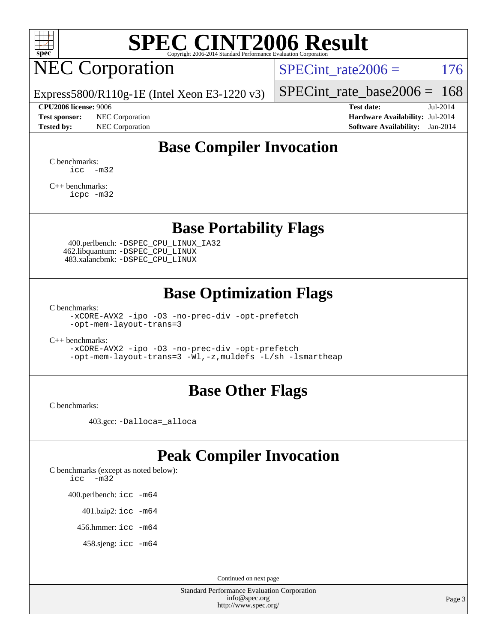

# **[SPEC CINT2006 Result](http://www.spec.org/auto/cpu2006/Docs/result-fields.html#SPECCINT2006Result)**

# NEC Corporation

SPECint rate $2006 = 176$ 

Express5800/R110g-1E (Intel Xeon E3-1220 v3)

#### **[CPU2006 license:](http://www.spec.org/auto/cpu2006/Docs/result-fields.html#CPU2006license)** 9006 **[Test date:](http://www.spec.org/auto/cpu2006/Docs/result-fields.html#Testdate)** Jul-2014

**[Test sponsor:](http://www.spec.org/auto/cpu2006/Docs/result-fields.html#Testsponsor)** NEC Corporation **[Hardware Availability:](http://www.spec.org/auto/cpu2006/Docs/result-fields.html#HardwareAvailability)** Jul-2014

[SPECint\\_rate\\_base2006 =](http://www.spec.org/auto/cpu2006/Docs/result-fields.html#SPECintratebase2006) 168

**[Tested by:](http://www.spec.org/auto/cpu2006/Docs/result-fields.html#Testedby)** NEC Corporation **[Software Availability:](http://www.spec.org/auto/cpu2006/Docs/result-fields.html#SoftwareAvailability)** Jan-2014

## **[Base Compiler Invocation](http://www.spec.org/auto/cpu2006/Docs/result-fields.html#BaseCompilerInvocation)**

[C benchmarks](http://www.spec.org/auto/cpu2006/Docs/result-fields.html#Cbenchmarks): [icc -m32](http://www.spec.org/cpu2006/results/res2014q3/cpu2006-20140805-30757.flags.html#user_CCbase_intel_icc_5ff4a39e364c98233615fdd38438c6f2)

[C++ benchmarks:](http://www.spec.org/auto/cpu2006/Docs/result-fields.html#CXXbenchmarks) [icpc -m32](http://www.spec.org/cpu2006/results/res2014q3/cpu2006-20140805-30757.flags.html#user_CXXbase_intel_icpc_4e5a5ef1a53fd332b3c49e69c3330699)

### **[Base Portability Flags](http://www.spec.org/auto/cpu2006/Docs/result-fields.html#BasePortabilityFlags)**

 400.perlbench: [-DSPEC\\_CPU\\_LINUX\\_IA32](http://www.spec.org/cpu2006/results/res2014q3/cpu2006-20140805-30757.flags.html#b400.perlbench_baseCPORTABILITY_DSPEC_CPU_LINUX_IA32) 462.libquantum: [-DSPEC\\_CPU\\_LINUX](http://www.spec.org/cpu2006/results/res2014q3/cpu2006-20140805-30757.flags.html#b462.libquantum_baseCPORTABILITY_DSPEC_CPU_LINUX) 483.xalancbmk: [-DSPEC\\_CPU\\_LINUX](http://www.spec.org/cpu2006/results/res2014q3/cpu2006-20140805-30757.flags.html#b483.xalancbmk_baseCXXPORTABILITY_DSPEC_CPU_LINUX)

## **[Base Optimization Flags](http://www.spec.org/auto/cpu2006/Docs/result-fields.html#BaseOptimizationFlags)**

[C benchmarks](http://www.spec.org/auto/cpu2006/Docs/result-fields.html#Cbenchmarks):

[-xCORE-AVX2](http://www.spec.org/cpu2006/results/res2014q3/cpu2006-20140805-30757.flags.html#user_CCbase_f-xAVX2_5f5fc0cbe2c9f62c816d3e45806c70d7) [-ipo](http://www.spec.org/cpu2006/results/res2014q3/cpu2006-20140805-30757.flags.html#user_CCbase_f-ipo) [-O3](http://www.spec.org/cpu2006/results/res2014q3/cpu2006-20140805-30757.flags.html#user_CCbase_f-O3) [-no-prec-div](http://www.spec.org/cpu2006/results/res2014q3/cpu2006-20140805-30757.flags.html#user_CCbase_f-no-prec-div) [-opt-prefetch](http://www.spec.org/cpu2006/results/res2014q3/cpu2006-20140805-30757.flags.html#user_CCbase_f-opt-prefetch) [-opt-mem-layout-trans=3](http://www.spec.org/cpu2006/results/res2014q3/cpu2006-20140805-30757.flags.html#user_CCbase_f-opt-mem-layout-trans_a7b82ad4bd7abf52556d4961a2ae94d5)

[C++ benchmarks:](http://www.spec.org/auto/cpu2006/Docs/result-fields.html#CXXbenchmarks)

[-xCORE-AVX2](http://www.spec.org/cpu2006/results/res2014q3/cpu2006-20140805-30757.flags.html#user_CXXbase_f-xAVX2_5f5fc0cbe2c9f62c816d3e45806c70d7) [-ipo](http://www.spec.org/cpu2006/results/res2014q3/cpu2006-20140805-30757.flags.html#user_CXXbase_f-ipo) [-O3](http://www.spec.org/cpu2006/results/res2014q3/cpu2006-20140805-30757.flags.html#user_CXXbase_f-O3) [-no-prec-div](http://www.spec.org/cpu2006/results/res2014q3/cpu2006-20140805-30757.flags.html#user_CXXbase_f-no-prec-div) [-opt-prefetch](http://www.spec.org/cpu2006/results/res2014q3/cpu2006-20140805-30757.flags.html#user_CXXbase_f-opt-prefetch) [-opt-mem-layout-trans=3](http://www.spec.org/cpu2006/results/res2014q3/cpu2006-20140805-30757.flags.html#user_CXXbase_f-opt-mem-layout-trans_a7b82ad4bd7abf52556d4961a2ae94d5) [-Wl,-z,muldefs](http://www.spec.org/cpu2006/results/res2014q3/cpu2006-20140805-30757.flags.html#user_CXXbase_link_force_multiple1_74079c344b956b9658436fd1b6dd3a8a) [-L/sh -lsmartheap](http://www.spec.org/cpu2006/results/res2014q3/cpu2006-20140805-30757.flags.html#user_CXXbase_SmartHeap_32f6c82aa1ed9c52345d30cf6e4a0499)

### **[Base Other Flags](http://www.spec.org/auto/cpu2006/Docs/result-fields.html#BaseOtherFlags)**

[C benchmarks](http://www.spec.org/auto/cpu2006/Docs/result-fields.html#Cbenchmarks):

403.gcc: [-Dalloca=\\_alloca](http://www.spec.org/cpu2006/results/res2014q3/cpu2006-20140805-30757.flags.html#b403.gcc_baseEXTRA_CFLAGS_Dalloca_be3056838c12de2578596ca5467af7f3)

## **[Peak Compiler Invocation](http://www.spec.org/auto/cpu2006/Docs/result-fields.html#PeakCompilerInvocation)**

[C benchmarks \(except as noted below\)](http://www.spec.org/auto/cpu2006/Docs/result-fields.html#Cbenchmarksexceptasnotedbelow): [icc -m32](http://www.spec.org/cpu2006/results/res2014q3/cpu2006-20140805-30757.flags.html#user_CCpeak_intel_icc_5ff4a39e364c98233615fdd38438c6f2)

400.perlbench: [icc -m64](http://www.spec.org/cpu2006/results/res2014q3/cpu2006-20140805-30757.flags.html#user_peakCCLD400_perlbench_intel_icc_64bit_bda6cc9af1fdbb0edc3795bac97ada53)

401.bzip2: [icc -m64](http://www.spec.org/cpu2006/results/res2014q3/cpu2006-20140805-30757.flags.html#user_peakCCLD401_bzip2_intel_icc_64bit_bda6cc9af1fdbb0edc3795bac97ada53)

456.hmmer: [icc -m64](http://www.spec.org/cpu2006/results/res2014q3/cpu2006-20140805-30757.flags.html#user_peakCCLD456_hmmer_intel_icc_64bit_bda6cc9af1fdbb0edc3795bac97ada53)

458.sjeng: [icc -m64](http://www.spec.org/cpu2006/results/res2014q3/cpu2006-20140805-30757.flags.html#user_peakCCLD458_sjeng_intel_icc_64bit_bda6cc9af1fdbb0edc3795bac97ada53)

Continued on next page

Standard Performance Evaluation Corporation [info@spec.org](mailto:info@spec.org) <http://www.spec.org/>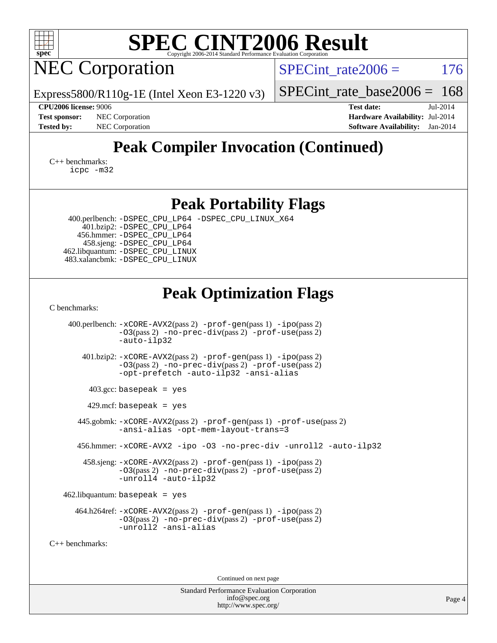